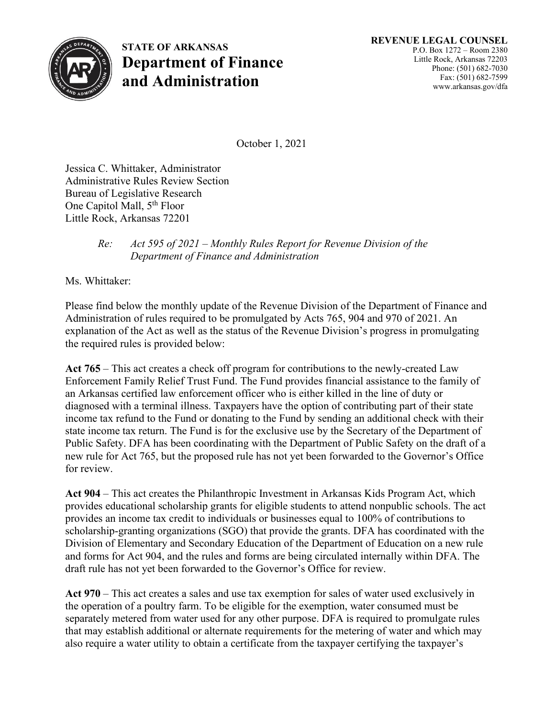

**STATE OF ARKANSAS Department of Finance and Administration**

October 1, 2021

Jessica C. Whittaker, Administrator Administrative Rules Review Section Bureau of Legislative Research One Capitol Mall, 5<sup>th</sup> Floor Little Rock, Arkansas 72201

## *Re: Act 595 of 2021 – Monthly Rules Report for Revenue Division of the Department of Finance and Administration*

Ms. Whittaker:

Please find below the monthly update of the Revenue Division of the Department of Finance and Administration of rules required to be promulgated by Acts 765, 904 and 970 of 2021. An explanation of the Act as well as the status of the Revenue Division's progress in promulgating the required rules is provided below:

**Act 765** – This act creates a check off program for contributions to the newly-created Law Enforcement Family Relief Trust Fund. The Fund provides financial assistance to the family of an Arkansas certified law enforcement officer who is either killed in the line of duty or diagnosed with a terminal illness. Taxpayers have the option of contributing part of their state income tax refund to the Fund or donating to the Fund by sending an additional check with their state income tax return. The Fund is for the exclusive use by the Secretary of the Department of Public Safety. DFA has been coordinating with the Department of Public Safety on the draft of a new rule for Act 765, but the proposed rule has not yet been forwarded to the Governor's Office for review.

**Act 904** – This act creates the Philanthropic Investment in Arkansas Kids Program Act, which provides educational scholarship grants for eligible students to attend nonpublic schools. The act provides an income tax credit to individuals or businesses equal to 100% of contributions to scholarship-granting organizations (SGO) that provide the grants. DFA has coordinated with the Division of Elementary and Secondary Education of the Department of Education on a new rule and forms for Act 904, and the rules and forms are being circulated internally within DFA. The draft rule has not yet been forwarded to the Governor's Office for review.

**Act 970** – This act creates a sales and use tax exemption for sales of water used exclusively in the operation of a poultry farm. To be eligible for the exemption, water consumed must be separately metered from water used for any other purpose. DFA is required to promulgate rules that may establish additional or alternate requirements for the metering of water and which may also require a water utility to obtain a certificate from the taxpayer certifying the taxpayer's